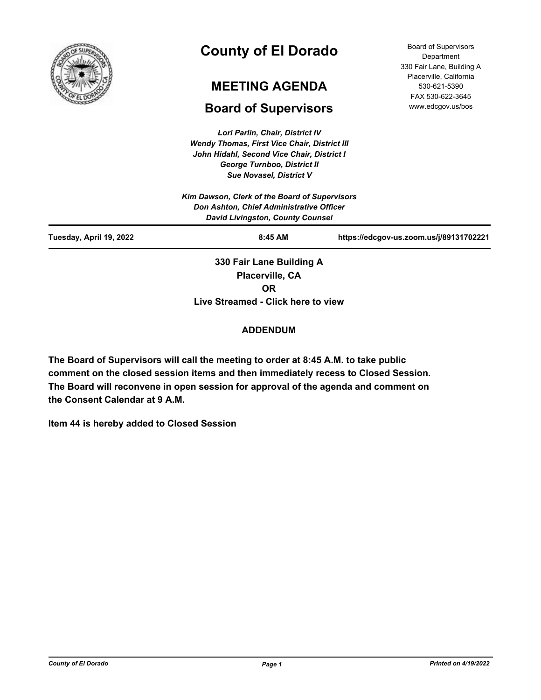

# **County of El Dorado**

# **MEETING AGENDA**

## **Board of Supervisors**

*Lori Parlin, Chair, District IV Wendy Thomas, First Vice Chair, District III John Hidahl, Second Vice Chair, District I George Turnboo, District II*

Board of Supervisors Department 330 Fair Lane, Building A Placerville, California 530-621-5390 FAX 530-622-3645 www.edcgov.us/bos

| <b>Sue Novasel, District V</b> |                                               |                                         |
|--------------------------------|-----------------------------------------------|-----------------------------------------|
|                                | Kim Dawson, Clerk of the Board of Supervisors |                                         |
|                                | Don Ashton, Chief Administrative Officer      |                                         |
|                                | <b>David Livingston, County Counsel</b>       |                                         |
| Tuesday, April 19, 2022        | $8:45$ AM                                     | https://edcgov-us.zoom.us/j/89131702221 |
|                                | 330 Fair Lane Building A                      |                                         |
|                                | Placerville, CA                               |                                         |
|                                | OR                                            |                                         |

**Live Streamed - Click here to view**

## **ADDENDUM**

**The Board of Supervisors will call the meeting to order at 8:45 A.M. to take public comment on the closed session items and then immediately recess to Closed Session. The Board will reconvene in open session for approval of the agenda and comment on the Consent Calendar at 9 A.M.**

**Item 44 is hereby added to Closed Session**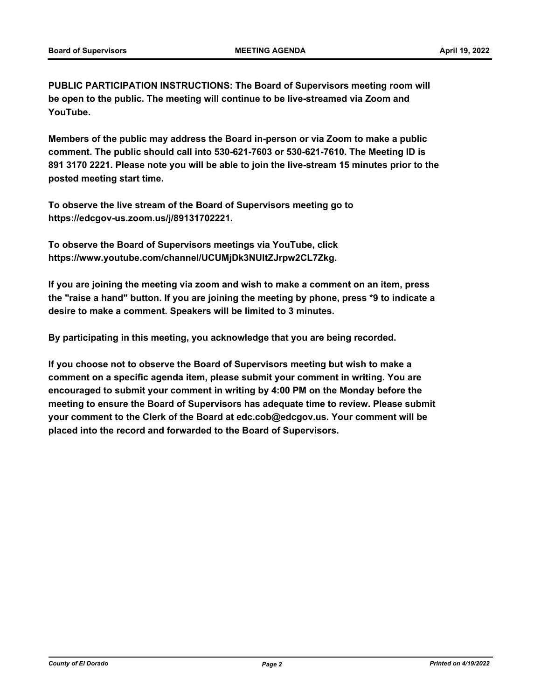**PUBLIC PARTICIPATION INSTRUCTIONS: The Board of Supervisors meeting room will be open to the public. The meeting will continue to be live-streamed via Zoom and YouTube.**

**Members of the public may address the Board in-person or via Zoom to make a public comment. The public should call into 530-621-7603 or 530-621-7610. The Meeting ID is 891 3170 2221. Please note you will be able to join the live-stream 15 minutes prior to the posted meeting start time.**

**To observe the live stream of the Board of Supervisors meeting go to https://edcgov-us.zoom.us/j/89131702221.**

**To observe the Board of Supervisors meetings via YouTube, click https://www.youtube.com/channel/UCUMjDk3NUltZJrpw2CL7Zkg.**

**If you are joining the meeting via zoom and wish to make a comment on an item, press the "raise a hand" button. If you are joining the meeting by phone, press \*9 to indicate a desire to make a comment. Speakers will be limited to 3 minutes.**

**By participating in this meeting, you acknowledge that you are being recorded.**

**If you choose not to observe the Board of Supervisors meeting but wish to make a comment on a specific agenda item, please submit your comment in writing. You are encouraged to submit your comment in writing by 4:00 PM on the Monday before the meeting to ensure the Board of Supervisors has adequate time to review. Please submit your comment to the Clerk of the Board at edc.cob@edcgov.us. Your comment will be placed into the record and forwarded to the Board of Supervisors.**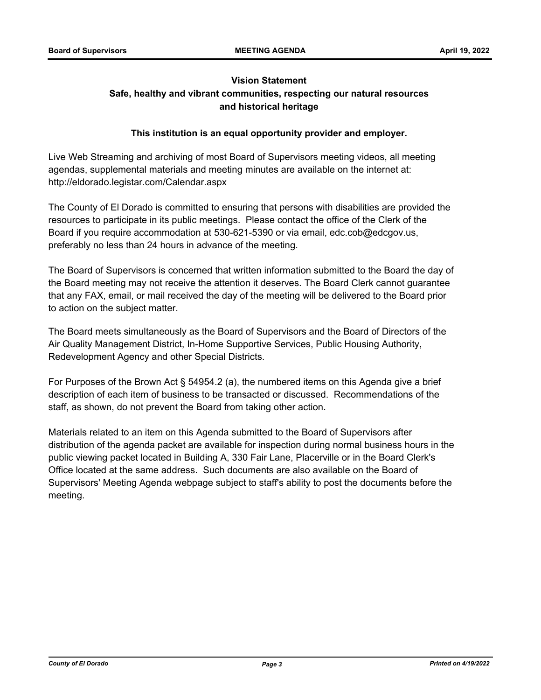## **Vision Statement Safe, healthy and vibrant communities, respecting our natural resources and historical heritage**

## **This institution is an equal opportunity provider and employer.**

Live Web Streaming and archiving of most Board of Supervisors meeting videos, all meeting agendas, supplemental materials and meeting minutes are available on the internet at: http://eldorado.legistar.com/Calendar.aspx

The County of El Dorado is committed to ensuring that persons with disabilities are provided the resources to participate in its public meetings. Please contact the office of the Clerk of the Board if you require accommodation at 530-621-5390 or via email, edc.cob@edcgov.us, preferably no less than 24 hours in advance of the meeting.

The Board of Supervisors is concerned that written information submitted to the Board the day of the Board meeting may not receive the attention it deserves. The Board Clerk cannot guarantee that any FAX, email, or mail received the day of the meeting will be delivered to the Board prior to action on the subject matter.

The Board meets simultaneously as the Board of Supervisors and the Board of Directors of the Air Quality Management District, In-Home Supportive Services, Public Housing Authority, Redevelopment Agency and other Special Districts.

For Purposes of the Brown Act § 54954.2 (a), the numbered items on this Agenda give a brief description of each item of business to be transacted or discussed. Recommendations of the staff, as shown, do not prevent the Board from taking other action.

Materials related to an item on this Agenda submitted to the Board of Supervisors after distribution of the agenda packet are available for inspection during normal business hours in the public viewing packet located in Building A, 330 Fair Lane, Placerville or in the Board Clerk's Office located at the same address. Such documents are also available on the Board of Supervisors' Meeting Agenda webpage subject to staff's ability to post the documents before the meeting.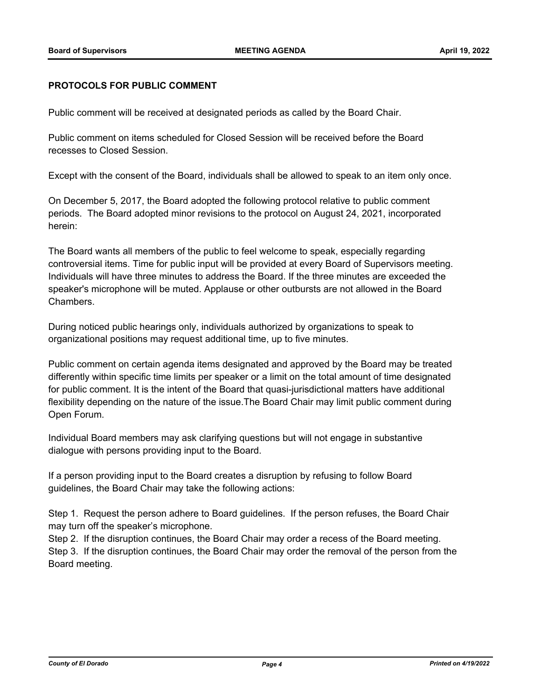#### **PROTOCOLS FOR PUBLIC COMMENT**

Public comment will be received at designated periods as called by the Board Chair.

Public comment on items scheduled for Closed Session will be received before the Board recesses to Closed Session.

Except with the consent of the Board, individuals shall be allowed to speak to an item only once.

On December 5, 2017, the Board adopted the following protocol relative to public comment periods. The Board adopted minor revisions to the protocol on August 24, 2021, incorporated herein:

The Board wants all members of the public to feel welcome to speak, especially regarding controversial items. Time for public input will be provided at every Board of Supervisors meeting. Individuals will have three minutes to address the Board. If the three minutes are exceeded the speaker's microphone will be muted. Applause or other outbursts are not allowed in the Board Chambers.

During noticed public hearings only, individuals authorized by organizations to speak to organizational positions may request additional time, up to five minutes.

Public comment on certain agenda items designated and approved by the Board may be treated differently within specific time limits per speaker or a limit on the total amount of time designated for public comment. It is the intent of the Board that quasi-jurisdictional matters have additional flexibility depending on the nature of the issue.The Board Chair may limit public comment during Open Forum.

Individual Board members may ask clarifying questions but will not engage in substantive dialogue with persons providing input to the Board.

If a person providing input to the Board creates a disruption by refusing to follow Board guidelines, the Board Chair may take the following actions:

Step 1. Request the person adhere to Board guidelines. If the person refuses, the Board Chair may turn off the speaker's microphone.

Step 2. If the disruption continues, the Board Chair may order a recess of the Board meeting. Step 3. If the disruption continues, the Board Chair may order the removal of the person from the Board meeting.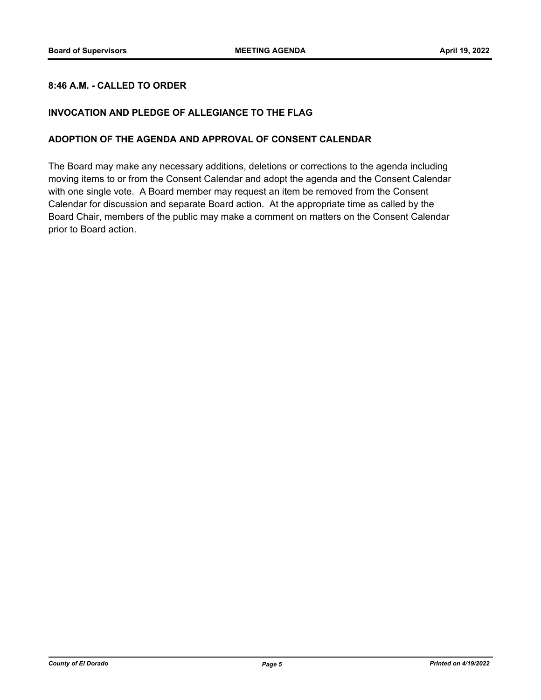## **8:46 A.M. - CALLED TO ORDER**

### **INVOCATION AND PLEDGE OF ALLEGIANCE TO THE FLAG**

#### **ADOPTION OF THE AGENDA AND APPROVAL OF CONSENT CALENDAR**

The Board may make any necessary additions, deletions or corrections to the agenda including moving items to or from the Consent Calendar and adopt the agenda and the Consent Calendar with one single vote. A Board member may request an item be removed from the Consent Calendar for discussion and separate Board action. At the appropriate time as called by the Board Chair, members of the public may make a comment on matters on the Consent Calendar prior to Board action.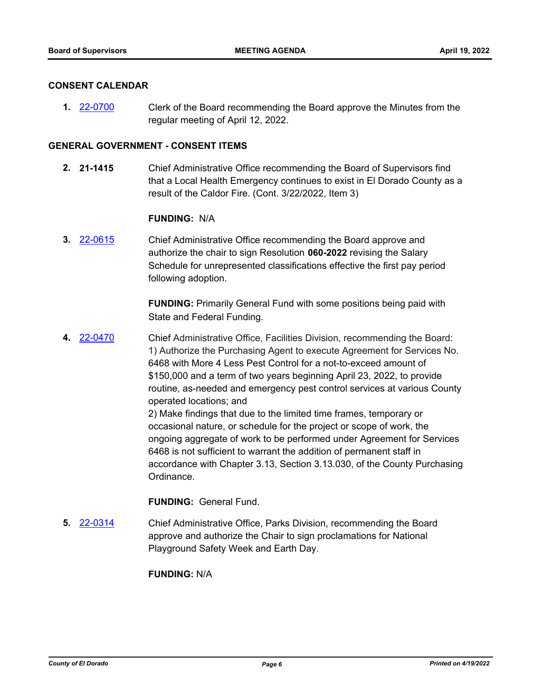#### **CONSENT CALENDAR**

**1.** [22-0700](http://eldorado.legistar.com/gateway.aspx?m=l&id=/matter.aspx?key=31601) Clerk of the Board recommending the Board approve the Minutes from the regular meeting of April 12, 2022.

#### **GENERAL GOVERNMENT - CONSENT ITEMS**

**2. 21-1415** Chief Administrative Office recommending the Board of Supervisors find that a Local Health Emergency continues to exist in El Dorado County as a result of the Caldor Fire. (Cont. 3/22/2022, Item 3)

#### **FUNDING:** N/A

**3.** [22-0615](http://eldorado.legistar.com/gateway.aspx?m=l&id=/matter.aspx?key=31516) Chief Administrative Office recommending the Board approve and authorize the chair to sign Resolution **060-2022** revising the Salary Schedule for unrepresented classifications effective the first pay period following adoption.

> **FUNDING:** Primarily General Fund with some positions being paid with State and Federal Funding.

**4.** [22-0470](http://eldorado.legistar.com/gateway.aspx?m=l&id=/matter.aspx?key=31371) Chief Administrative Office, Facilities Division, recommending the Board: 1) Authorize the Purchasing Agent to execute Agreement for Services No. 6468 with More 4 Less Pest Control for a not-to-exceed amount of \$150,000 and a term of two years beginning April 23, 2022, to provide routine, as-needed and emergency pest control services at various County operated locations; and

2) Make findings that due to the limited time frames, temporary or occasional nature, or schedule for the project or scope of work, the ongoing aggregate of work to be performed under Agreement for Services 6468 is not sufficient to warrant the addition of permanent staff in accordance with Chapter 3.13, Section 3.13.030, of the County Purchasing Ordinance.

#### **FUNDING:** General Fund.

**5.** [22-0314](http://eldorado.legistar.com/gateway.aspx?m=l&id=/matter.aspx?key=31215) Chief Administrative Office, Parks Division, recommending the Board approve and authorize the Chair to sign proclamations for National Playground Safety Week and Earth Day.

#### **FUNDING:** N/A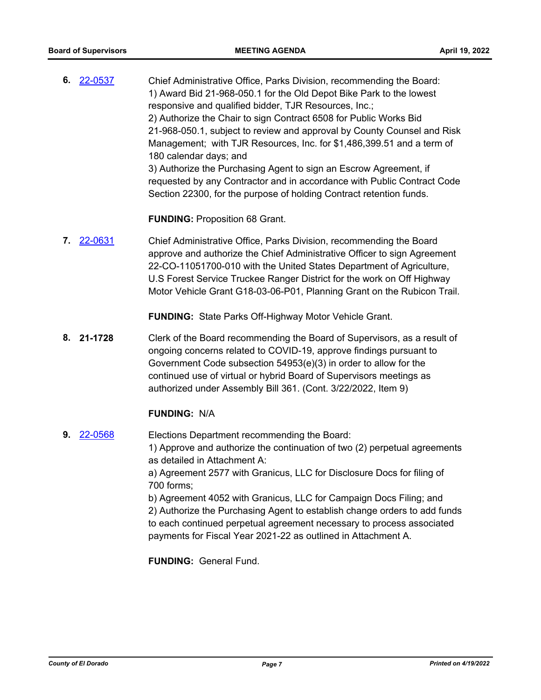**6.** [22-0537](http://eldorado.legistar.com/gateway.aspx?m=l&id=/matter.aspx?key=31438) Chief Administrative Office, Parks Division, recommending the Board: 1) Award Bid 21-968-050.1 for the Old Depot Bike Park to the lowest responsive and qualified bidder, TJR Resources, Inc.; 2) Authorize the Chair to sign Contract 6508 for Public Works Bid 21-968-050.1, subject to review and approval by County Counsel and Risk Management; with TJR Resources, Inc. for \$1,486,399.51 and a term of 180 calendar days; and 3) Authorize the Purchasing Agent to sign an Escrow Agreement, if requested by any Contractor and in accordance with Public Contract Code Section 22300, for the purpose of holding Contract retention funds.

**FUNDING:** Proposition 68 Grant.

**7.** [22-0631](http://eldorado.legistar.com/gateway.aspx?m=l&id=/matter.aspx?key=31532) Chief Administrative Office, Parks Division, recommending the Board approve and authorize the Chief Administrative Officer to sign Agreement 22-CO-11051700-010 with the United States Department of Agriculture, U.S Forest Service Truckee Ranger District for the work on Off Highway Motor Vehicle Grant G18-03-06-P01, Planning Grant on the Rubicon Trail.

**FUNDING:** State Parks Off-Highway Motor Vehicle Grant.

**8. 21-1728** Clerk of the Board recommending the Board of Supervisors, as a result of ongoing concerns related to COVID-19, approve findings pursuant to Government Code subsection 54953(e)(3) in order to allow for the continued use of virtual or hybrid Board of Supervisors meetings as authorized under Assembly Bill 361. (Cont. 3/22/2022, Item 9)

### **FUNDING:** N/A

**9.** [22-0568](http://eldorado.legistar.com/gateway.aspx?m=l&id=/matter.aspx?key=31469) Elections Department recommending the Board: 1) Approve and authorize the continuation of two (2) perpetual agreements as detailed in Attachment A: a) Agreement 2577 with Granicus, LLC for Disclosure Docs for filing of 700 forms; b) Agreement 4052 with Granicus, LLC for Campaign Docs Filing; and 2) Authorize the Purchasing Agent to establish change orders to add funds to each continued perpetual agreement necessary to process associated payments for Fiscal Year 2021-22 as outlined in Attachment A.

**FUNDING:** General Fund.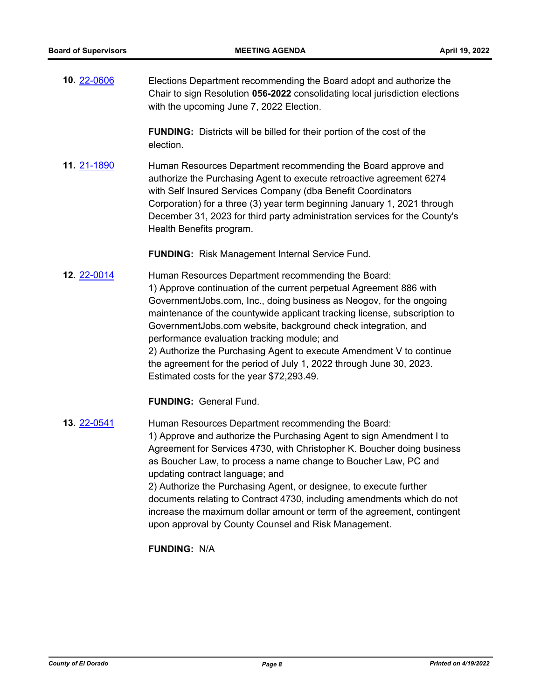**10.** [22-0606](http://eldorado.legistar.com/gateway.aspx?m=l&id=/matter.aspx?key=31507) Elections Department recommending the Board adopt and authorize the Chair to sign Resolution **056-2022** consolidating local jurisdiction elections with the upcoming June 7, 2022 Election.

> **FUNDING:** Districts will be billed for their portion of the cost of the election.

**11.** [21-1890](http://eldorado.legistar.com/gateway.aspx?m=l&id=/matter.aspx?key=30786) Human Resources Department recommending the Board approve and authorize the Purchasing Agent to execute retroactive agreement 6274 with Self Insured Services Company (dba Benefit Coordinators Corporation) for a three (3) year term beginning January 1, 2021 through December 31, 2023 for third party administration services for the County's Health Benefits program.

**FUNDING:** Risk Management Internal Service Fund.

**12.** [22-0014](http://eldorado.legistar.com/gateway.aspx?m=l&id=/matter.aspx?key=30914) Human Resources Department recommending the Board: 1) Approve continuation of the current perpetual Agreement 886 with GovernmentJobs.com, Inc., doing business as Neogov, for the ongoing maintenance of the countywide applicant tracking license, subscription to GovernmentJobs.com website, background check integration, and performance evaluation tracking module; and 2) Authorize the Purchasing Agent to execute Amendment V to continue the agreement for the period of July 1, 2022 through June 30, 2023. Estimated costs for the year \$72,293.49.

**FUNDING:** General Fund.

**13.** [22-0541](http://eldorado.legistar.com/gateway.aspx?m=l&id=/matter.aspx?key=31442) Human Resources Department recommending the Board: 1) Approve and authorize the Purchasing Agent to sign Amendment I to Agreement for Services 4730, with Christopher K. Boucher doing business as Boucher Law, to process a name change to Boucher Law, PC and updating contract language; and 2) Authorize the Purchasing Agent, or designee, to execute further documents relating to Contract 4730, including amendments which do not increase the maximum dollar amount or term of the agreement, contingent upon approval by County Counsel and Risk Management.

**FUNDING:** N/A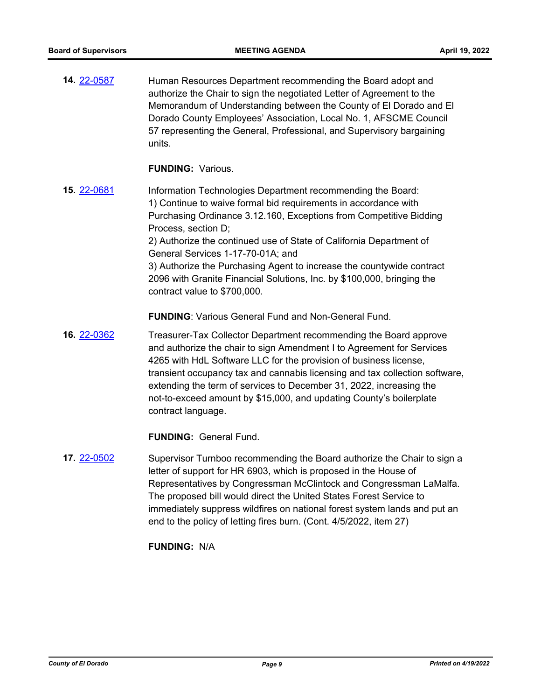**14.** [22-0587](http://eldorado.legistar.com/gateway.aspx?m=l&id=/matter.aspx?key=31488) Human Resources Department recommending the Board adopt and authorize the Chair to sign the negotiated Letter of Agreement to the Memorandum of Understanding between the County of El Dorado and El Dorado County Employees' Association, Local No. 1, AFSCME Council 57 representing the General, Professional, and Supervisory bargaining units.

#### **FUNDING:** Various.

**15.** [22-0681](http://eldorado.legistar.com/gateway.aspx?m=l&id=/matter.aspx?key=31582) Information Technologies Department recommending the Board: 1) Continue to waive formal bid requirements in accordance with Purchasing Ordinance 3.12.160, Exceptions from Competitive Bidding Process, section D; 2) Authorize the continued use of State of California Department of General Services 1-17-70-01A; and 3) Authorize the Purchasing Agent to increase the countywide contract 2096 with Granite Financial Solutions, Inc. by \$100,000, bringing the contract value to \$700,000.

**FUNDING**: Various General Fund and Non-General Fund.

**16.** [22-0362](http://eldorado.legistar.com/gateway.aspx?m=l&id=/matter.aspx?key=31263) Treasurer-Tax Collector Department recommending the Board approve and authorize the chair to sign Amendment I to Agreement for Services 4265 with HdL Software LLC for the provision of business license, transient occupancy tax and cannabis licensing and tax collection software, extending the term of services to December 31, 2022, increasing the not-to-exceed amount by \$15,000, and updating County's boilerplate contract language.

**FUNDING:** General Fund.

**17.** [22-0502](http://eldorado.legistar.com/gateway.aspx?m=l&id=/matter.aspx?key=31403) Supervisor Turnboo recommending the Board authorize the Chair to sign a letter of support for HR 6903, which is proposed in the House of Representatives by Congressman McClintock and Congressman LaMalfa. The proposed bill would direct the United States Forest Service to immediately suppress wildfires on national forest system lands and put an end to the policy of letting fires burn. (Cont. 4/5/2022, item 27)

**FUNDING:** N/A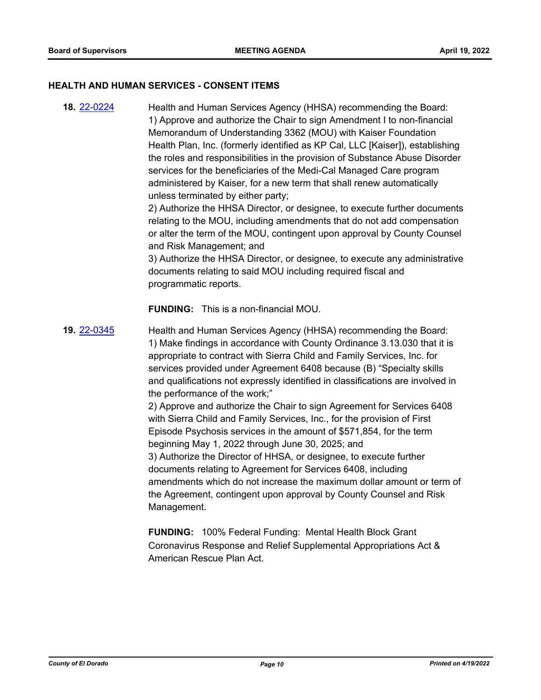#### **HEALTH AND HUMAN SERVICES - CONSENT ITEMS**

**18.** [22-0224](http://eldorado.legistar.com/gateway.aspx?m=l&id=/matter.aspx?key=31125) Health and Human Services Agency (HHSA) recommending the Board: 1) Approve and authorize the Chair to sign Amendment I to non-financial Memorandum of Understanding 3362 (MOU) with Kaiser Foundation Health Plan, Inc. (formerly identified as KP Cal, LLC [Kaiser]), establishing the roles and responsibilities in the provision of Substance Abuse Disorder services for the beneficiaries of the Medi-Cal Managed Care program administered by Kaiser, for a new term that shall renew automatically unless terminated by either party; 2) Authorize the HHSA Director, or designee, to execute further documents relating to the MOU, including amendments that do not add compensation or alter the term of the MOU, contingent upon approval by County Counsel and Risk Management; and 3) Authorize the HHSA Director, or designee, to execute any administrative documents relating to said MOU including required fiscal and programmatic reports. **FUNDING:** This is a non-financial MOU. **19.** [22-0345](http://eldorado.legistar.com/gateway.aspx?m=l&id=/matter.aspx?key=31246) Health and Human Services Agency (HHSA) recommending the Board: 1) Make findings in accordance with County Ordinance 3.13.030 that it is appropriate to contract with Sierra Child and Family Services, Inc. for services provided under Agreement 6408 because (B) "Specialty skills and qualifications not expressly identified in classifications are involved in the performance of the work;" 2) Approve and authorize the Chair to sign Agreement for Services 6408 with Sierra Child and Family Services, Inc., for the provision of First Episode Psychosis services in the amount of \$571,854, for the term beginning May 1, 2022 through June 30, 2025; and 3) Authorize the Director of HHSA, or designee, to execute further documents relating to Agreement for Services 6408, including amendments which do not increase the maximum dollar amount or term of the Agreement, contingent upon approval by County Counsel and Risk Management.

> **FUNDING:** 100% Federal Funding: Mental Health Block Grant Coronavirus Response and Relief Supplemental Appropriations Act & American Rescue Plan Act.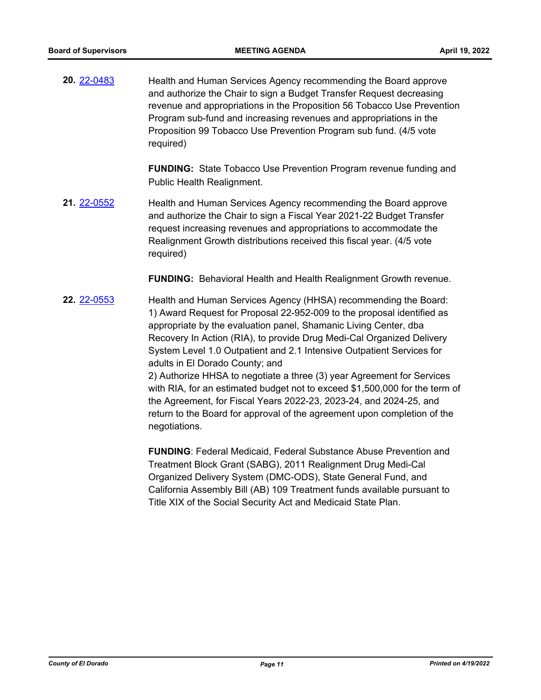**20.** [22-0483](http://eldorado.legistar.com/gateway.aspx?m=l&id=/matter.aspx?key=31384) Health and Human Services Agency recommending the Board approve and authorize the Chair to sign a Budget Transfer Request decreasing revenue and appropriations in the Proposition 56 Tobacco Use Prevention Program sub-fund and increasing revenues and appropriations in the Proposition 99 Tobacco Use Prevention Program sub fund. (4/5 vote required)

> **FUNDING:** State Tobacco Use Prevention Program revenue funding and Public Health Realignment.

**21.** [22-0552](http://eldorado.legistar.com/gateway.aspx?m=l&id=/matter.aspx?key=31453) Health and Human Services Agency recommending the Board approve and authorize the Chair to sign a Fiscal Year 2021-22 Budget Transfer request increasing revenues and appropriations to accommodate the Realignment Growth distributions received this fiscal year. (4/5 vote required)

**FUNDING:** Behavioral Health and Health Realignment Growth revenue.

**22.** [22-0553](http://eldorado.legistar.com/gateway.aspx?m=l&id=/matter.aspx?key=31454) Health and Human Services Agency (HHSA) recommending the Board: 1) Award Request for Proposal 22-952-009 to the proposal identified as appropriate by the evaluation panel, Shamanic Living Center, dba Recovery In Action (RIA), to provide Drug Medi-Cal Organized Delivery System Level 1.0 Outpatient and 2.1 Intensive Outpatient Services for adults in El Dorado County; and 2) Authorize HHSA to negotiate a three (3) year Agreement for Services with RIA, for an estimated budget not to exceed \$1,500,000 for the term of the Agreement, for Fiscal Years 2022-23, 2023-24, and 2024-25, and return to the Board for approval of the agreement upon completion of the negotiations.

> **FUNDING**: Federal Medicaid, Federal Substance Abuse Prevention and Treatment Block Grant (SABG), 2011 Realignment Drug Medi-Cal Organized Delivery System (DMC-ODS), State General Fund, and California Assembly Bill (AB) 109 Treatment funds available pursuant to Title XIX of the Social Security Act and Medicaid State Plan.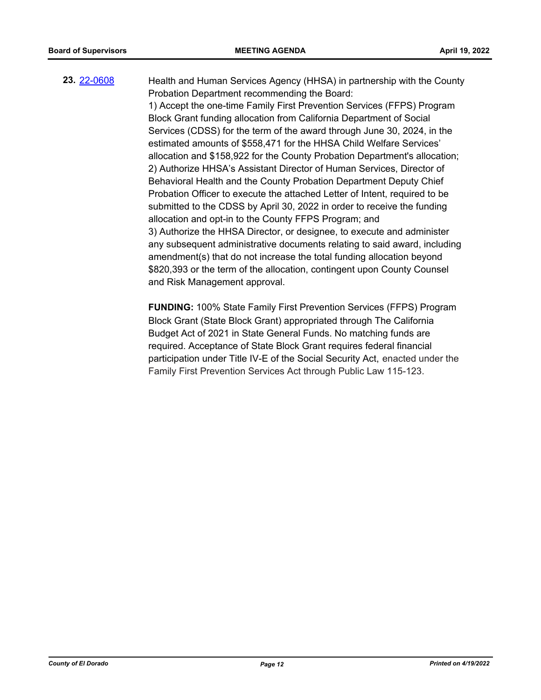## **23.** [22-0608](http://eldorado.legistar.com/gateway.aspx?m=l&id=/matter.aspx?key=31509) Health and Human Services Agency (HHSA) in partnership with the County Probation Department recommending the Board:

1) Accept the one-time Family First Prevention Services (FFPS) Program Block Grant funding allocation from California Department of Social Services (CDSS) for the term of the award through June 30, 2024, in the estimated amounts of \$558,471 for the HHSA Child Welfare Services' allocation and \$158,922 for the County Probation Department's allocation; 2) Authorize HHSA's Assistant Director of Human Services, Director of Behavioral Health and the County Probation Department Deputy Chief Probation Officer to execute the attached Letter of Intent, required to be submitted to the CDSS by April 30, 2022 in order to receive the funding allocation and opt-in to the County FFPS Program; and 3) Authorize the HHSA Director, or designee, to execute and administer any subsequent administrative documents relating to said award, including amendment(s) that do not increase the total funding allocation beyond \$820,393 or the term of the allocation, contingent upon County Counsel and Risk Management approval.

**FUNDING:** 100% State Family First Prevention Services (FFPS) Program Block Grant (State Block Grant) appropriated through The California Budget Act of 2021 in State General Funds. No matching funds are required. Acceptance of State Block Grant requires federal financial participation under Title IV-E of the Social Security Act, enacted under the Family First Prevention Services Act through Public Law 115-123.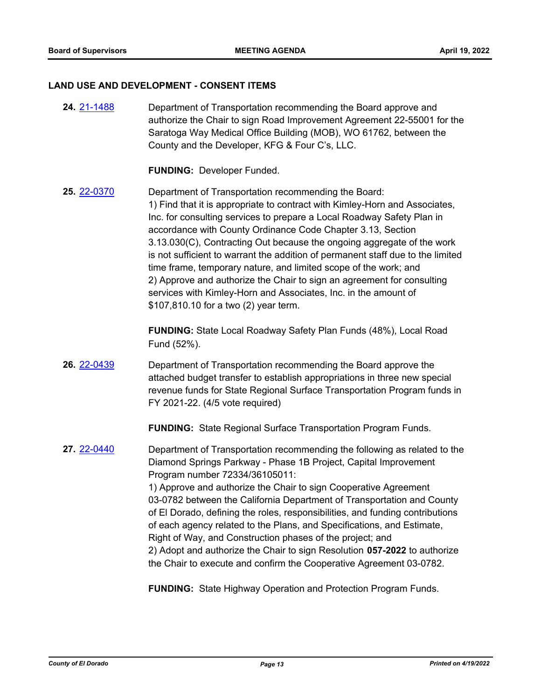#### **LAND USE AND DEVELOPMENT - CONSENT ITEMS**

**24.** [21-1488](http://eldorado.legistar.com/gateway.aspx?m=l&id=/matter.aspx?key=30383) Department of Transportation recommending the Board approve and authorize the Chair to sign Road Improvement Agreement 22-55001 for the Saratoga Way Medical Office Building (MOB), WO 61762, between the County and the Developer, KFG & Four C's, LLC.

**FUNDING:** Developer Funded.

**25.** [22-0370](http://eldorado.legistar.com/gateway.aspx?m=l&id=/matter.aspx?key=31271) Department of Transportation recommending the Board: 1) Find that it is appropriate to contract with Kimley-Horn and Associates, Inc. for consulting services to prepare a Local Roadway Safety Plan in accordance with County Ordinance Code Chapter 3.13, Section 3.13.030(C), Contracting Out because the ongoing aggregate of the work is not sufficient to warrant the addition of permanent staff due to the limited time frame, temporary nature, and limited scope of the work; and 2) Approve and authorize the Chair to sign an agreement for consulting services with Kimley-Horn and Associates, Inc. in the amount of \$107,810.10 for a two (2) year term.

> **FUNDING:** State Local Roadway Safety Plan Funds (48%), Local Road Fund (52%).

**26.** [22-0439](http://eldorado.legistar.com/gateway.aspx?m=l&id=/matter.aspx?key=31340) Department of Transportation recommending the Board approve the attached budget transfer to establish appropriations in three new special revenue funds for State Regional Surface Transportation Program funds in FY 2021-22. (4/5 vote required)

**FUNDING:** State Regional Surface Transportation Program Funds.

**27.** [22-0440](http://eldorado.legistar.com/gateway.aspx?m=l&id=/matter.aspx?key=31341) Department of Transportation recommending the following as related to the Diamond Springs Parkway - Phase 1B Project, Capital Improvement Program number 72334/36105011: 1) Approve and authorize the Chair to sign Cooperative Agreement 03-0782 between the California Department of Transportation and County of El Dorado, defining the roles, responsibilities, and funding contributions of each agency related to the Plans, and Specifications, and Estimate, Right of Way, and Construction phases of the project; and 2) Adopt and authorize the Chair to sign Resolution **057-2022** to authorize the Chair to execute and confirm the Cooperative Agreement 03-0782.

**FUNDING:** State Highway Operation and Protection Program Funds.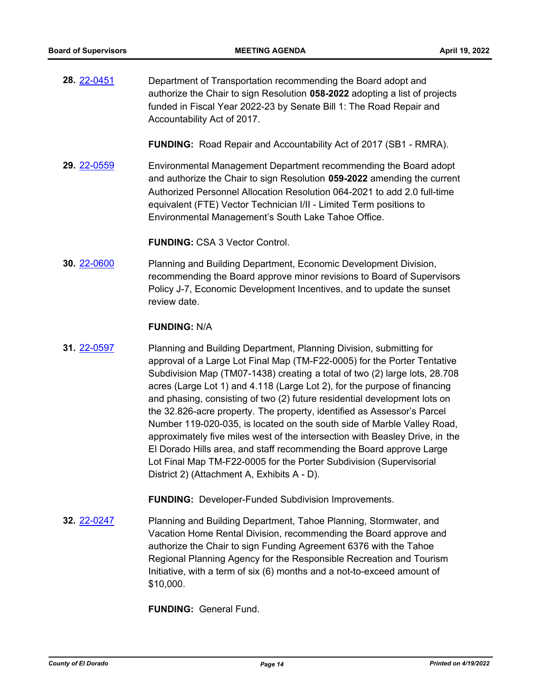**28.** [22-0451](http://eldorado.legistar.com/gateway.aspx?m=l&id=/matter.aspx?key=31352) Department of Transportation recommending the Board adopt and authorize the Chair to sign Resolution **058-2022** adopting a list of projects funded in Fiscal Year 2022-23 by Senate Bill 1: The Road Repair and Accountability Act of 2017.

**FUNDING:** Road Repair and Accountability Act of 2017 (SB1 - RMRA).

**29.** [22-0559](http://eldorado.legistar.com/gateway.aspx?m=l&id=/matter.aspx?key=31460) Environmental Management Department recommending the Board adopt and authorize the Chair to sign Resolution **059-2022** amending the current Authorized Personnel Allocation Resolution 064-2021 to add 2.0 full-time equivalent (FTE) Vector Technician I/II - Limited Term positions to Environmental Management's South Lake Tahoe Office.

**FUNDING:** CSA 3 Vector Control.

**30.** [22-0600](http://eldorado.legistar.com/gateway.aspx?m=l&id=/matter.aspx?key=31501) Planning and Building Department, Economic Development Division, recommending the Board approve minor revisions to Board of Supervisors Policy J-7, Economic Development Incentives, and to update the sunset review date.

#### **FUNDING:** N/A

**31.** [22-0597](http://eldorado.legistar.com/gateway.aspx?m=l&id=/matter.aspx?key=31498) Planning and Building Department, Planning Division, submitting for approval of a Large Lot Final Map (TM-F22-0005) for the Porter Tentative Subdivision Map (TM07-1438) creating a total of two (2) large lots, 28.708 acres (Large Lot 1) and 4.118 (Large Lot 2), for the purpose of financing and phasing, consisting of two (2) future residential development lots on the 32.826-acre property. The property, identified as Assessor's Parcel Number 119-020-035, is located on the south side of Marble Valley Road, approximately five miles west of the intersection with Beasley Drive, in the El Dorado Hills area, and staff recommending the Board approve Large Lot Final Map TM-F22-0005 for the Porter Subdivision (Supervisorial District 2) (Attachment A, Exhibits A - D).

**FUNDING:** Developer-Funded Subdivision Improvements.

**32.** [22-0247](http://eldorado.legistar.com/gateway.aspx?m=l&id=/matter.aspx?key=31148) Planning and Building Department, Tahoe Planning, Stormwater, and Vacation Home Rental Division, recommending the Board approve and authorize the Chair to sign Funding Agreement 6376 with the Tahoe Regional Planning Agency for the Responsible Recreation and Tourism Initiative, with a term of six (6) months and a not-to-exceed amount of \$10,000.

**FUNDING:** General Fund.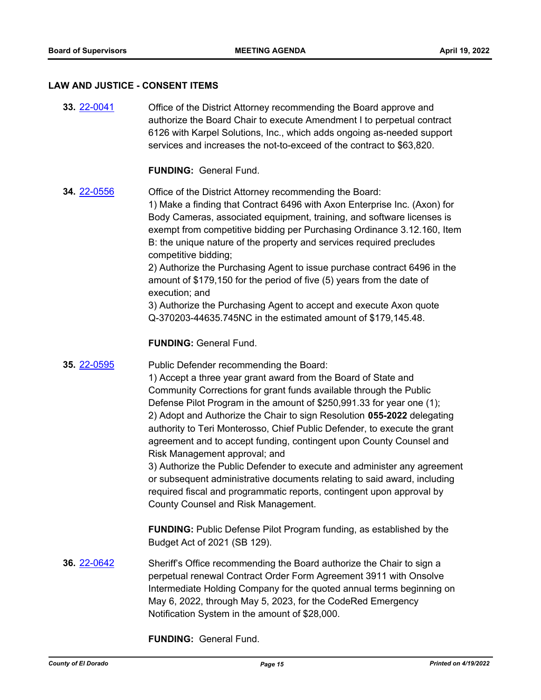#### **LAW AND JUSTICE - CONSENT ITEMS**

**33.** [22-0041](http://eldorado.legistar.com/gateway.aspx?m=l&id=/matter.aspx?key=30941) Office of the District Attorney recommending the Board approve and authorize the Board Chair to execute Amendment I to perpetual contract 6126 with Karpel Solutions, Inc., which adds ongoing as-needed support services and increases the not-to-exceed of the contract to \$63,820.

#### **FUNDING:** General Fund.

**34.** [22-0556](http://eldorado.legistar.com/gateway.aspx?m=l&id=/matter.aspx?key=31457) Office of the District Attorney recommending the Board: 1) Make a finding that Contract 6496 with Axon Enterprise Inc. (Axon) for Body Cameras, associated equipment, training, and software licenses is exempt from competitive bidding per Purchasing Ordinance 3.12.160, Item B: the unique nature of the property and services required precludes competitive bidding;

2) Authorize the Purchasing Agent to issue purchase contract 6496 in the amount of \$179,150 for the period of five (5) years from the date of execution; and

3) Authorize the Purchasing Agent to accept and execute Axon quote Q-370203-44635.745NC in the estimated amount of \$179,145.48.

**FUNDING:** General Fund.

#### **35.** [22-0595](http://eldorado.legistar.com/gateway.aspx?m=l&id=/matter.aspx?key=31496) Public Defender recommending the Board:

1) Accept a three year grant award from the Board of State and Community Corrections for grant funds available through the Public Defense Pilot Program in the amount of \$250,991.33 for year one (1); 2) Adopt and Authorize the Chair to sign Resolution **055-2022** delegating authority to Teri Monterosso, Chief Public Defender, to execute the grant agreement and to accept funding, contingent upon County Counsel and Risk Management approval; and

3) Authorize the Public Defender to execute and administer any agreement or subsequent administrative documents relating to said award, including required fiscal and programmatic reports, contingent upon approval by County Counsel and Risk Management.

**FUNDING:** Public Defense Pilot Program funding, as established by the Budget Act of 2021 (SB 129).

**36.** [22-0642](http://eldorado.legistar.com/gateway.aspx?m=l&id=/matter.aspx?key=31543) Sheriff's Office recommending the Board authorize the Chair to sign a perpetual renewal Contract Order Form Agreement 3911 with Onsolve Intermediate Holding Company for the quoted annual terms beginning on May 6, 2022, through May 5, 2023, for the CodeRed Emergency Notification System in the amount of \$28,000.

**FUNDING:** General Fund.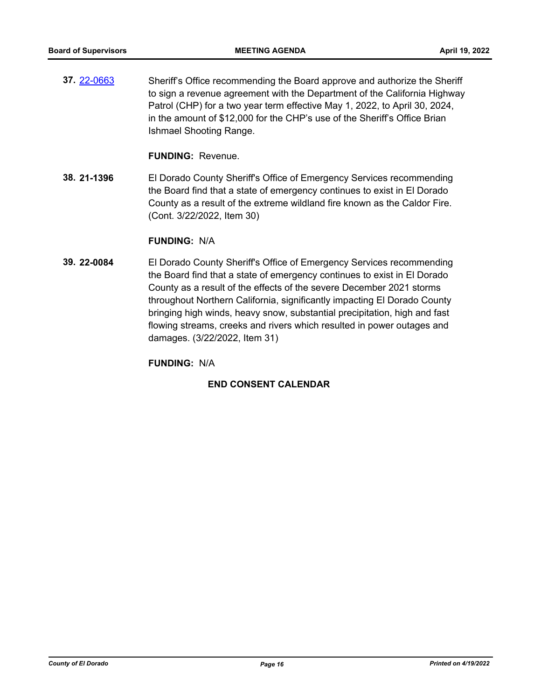**37.** [22-0663](http://eldorado.legistar.com/gateway.aspx?m=l&id=/matter.aspx?key=31564) Sheriff's Office recommending the Board approve and authorize the Sheriff to sign a revenue agreement with the Department of the California Highway Patrol (CHP) for a two year term effective May 1, 2022, to April 30, 2024, in the amount of \$12,000 for the CHP's use of the Sheriff's Office Brian Ishmael Shooting Range.

**FUNDING:** Revenue.

**38. 21-1396** El Dorado County Sheriff's Office of Emergency Services recommending the Board find that a state of emergency continues to exist in El Dorado County as a result of the extreme wildland fire known as the Caldor Fire. (Cont. 3/22/2022, Item 30)

#### **FUNDING:** N/A

**39. 22-0084** El Dorado County Sheriff's Office of Emergency Services recommending the Board find that a state of emergency continues to exist in El Dorado County as a result of the effects of the severe December 2021 storms throughout Northern California, significantly impacting El Dorado County bringing high winds, heavy snow, substantial precipitation, high and fast flowing streams, creeks and rivers which resulted in power outages and damages. (3/22/2022, Item 31)

**FUNDING:** N/A

### **END CONSENT CALENDAR**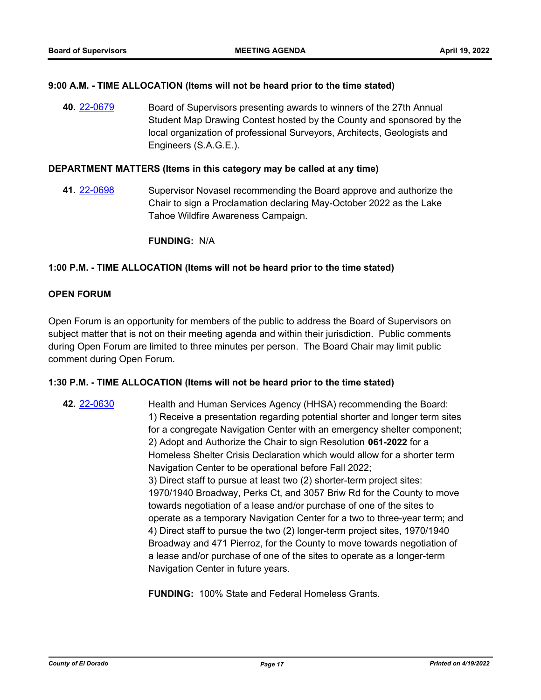#### **9:00 A.M. - TIME ALLOCATION (Items will not be heard prior to the time stated)**

**40.** [22-0679](http://eldorado.legistar.com/gateway.aspx?m=l&id=/matter.aspx?key=31580) Board of Supervisors presenting awards to winners of the 27th Annual Student Map Drawing Contest hosted by the County and sponsored by the local organization of professional Surveyors, Architects, Geologists and Engineers (S.A.G.E.).

#### **DEPARTMENT MATTERS (Items in this category may be called at any time)**

**41.** [22-0698](http://eldorado.legistar.com/gateway.aspx?m=l&id=/matter.aspx?key=31599) Supervisor Novasel recommending the Board approve and authorize the Chair to sign a Proclamation declaring May-October 2022 as the Lake Tahoe Wildfire Awareness Campaign.

**FUNDING:** N/A

#### **1:00 P.M. - TIME ALLOCATION (Items will not be heard prior to the time stated)**

#### **OPEN FORUM**

Open Forum is an opportunity for members of the public to address the Board of Supervisors on subject matter that is not on their meeting agenda and within their jurisdiction. Public comments during Open Forum are limited to three minutes per person. The Board Chair may limit public comment during Open Forum.

#### **1:30 P.M. - TIME ALLOCATION (Items will not be heard prior to the time stated)**

**42.** [22-0630](http://eldorado.legistar.com/gateway.aspx?m=l&id=/matter.aspx?key=31531) Health and Human Services Agency (HHSA) recommending the Board: 1) Receive a presentation regarding potential shorter and longer term sites for a congregate Navigation Center with an emergency shelter component; 2) Adopt and Authorize the Chair to sign Resolution **061-2022** for a Homeless Shelter Crisis Declaration which would allow for a shorter term Navigation Center to be operational before Fall 2022; 3) Direct staff to pursue at least two (2) shorter-term project sites: 1970/1940 Broadway, Perks Ct, and 3057 Briw Rd for the County to move towards negotiation of a lease and/or purchase of one of the sites to operate as a temporary Navigation Center for a two to three-year term; and 4) Direct staff to pursue the two (2) longer-term project sites, 1970/1940 Broadway and 471 Pierroz, for the County to move towards negotiation of a lease and/or purchase of one of the sites to operate as a longer-term Navigation Center in future years.

**FUNDING:** 100% State and Federal Homeless Grants.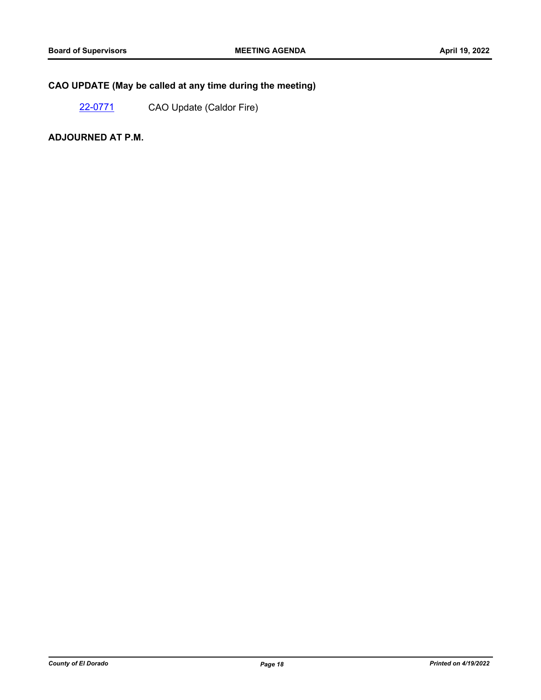## **CAO UPDATE (May be called at any time during the meeting)**

[22-0771](http://eldorado.legistar.com/gateway.aspx?m=l&id=/matter.aspx?key=31672) CAO Update (Caldor Fire)

**ADJOURNED AT P.M.**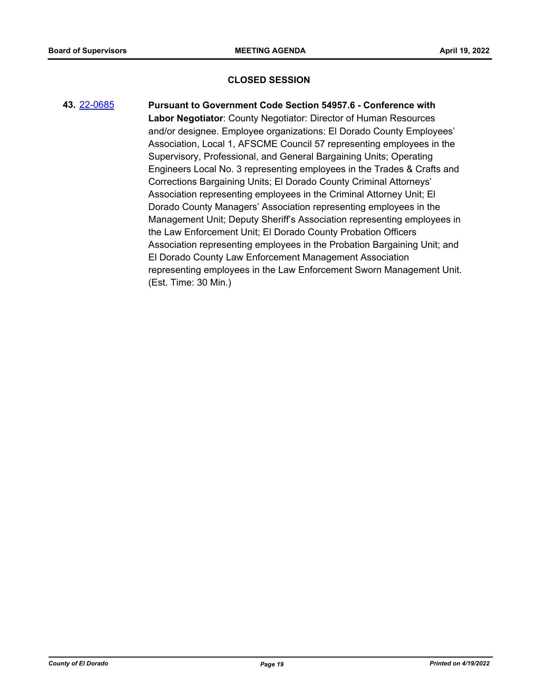#### **CLOSED SESSION**

**43.** [22-0685](http://eldorado.legistar.com/gateway.aspx?m=l&id=/matter.aspx?key=31586) **Pursuant to Government Code Section 54957.6 - Conference with Labor Negotiator**: County Negotiator: Director of Human Resources and/or designee. Employee organizations: El Dorado County Employees' Association, Local 1, AFSCME Council 57 representing employees in the Supervisory, Professional, and General Bargaining Units; Operating Engineers Local No. 3 representing employees in the Trades & Crafts and Corrections Bargaining Units; El Dorado County Criminal Attorneys' Association representing employees in the Criminal Attorney Unit; El Dorado County Managers' Association representing employees in the Management Unit; Deputy Sheriff's Association representing employees in the Law Enforcement Unit; El Dorado County Probation Officers Association representing employees in the Probation Bargaining Unit; and El Dorado County Law Enforcement Management Association representing employees in the Law Enforcement Sworn Management Unit. (Est. Time: 30 Min.)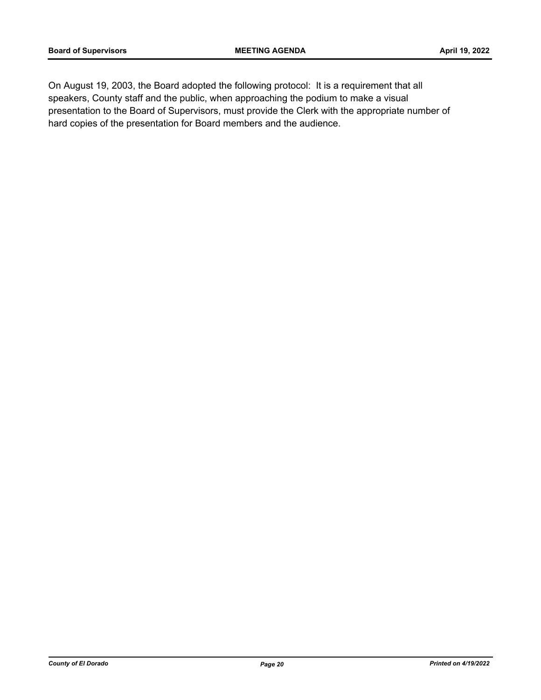On August 19, 2003, the Board adopted the following protocol: It is a requirement that all speakers, County staff and the public, when approaching the podium to make a visual presentation to the Board of Supervisors, must provide the Clerk with the appropriate number of hard copies of the presentation for Board members and the audience.